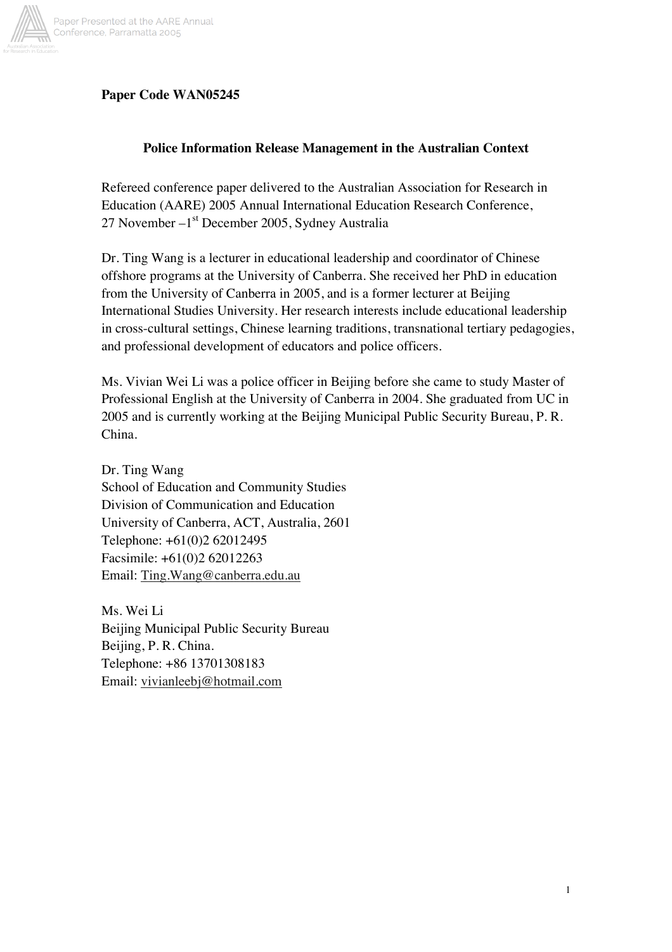

# **Paper Code WAN05245**

## **Police Information Release Management in the Australian Context**

Refereed conference paper delivered to the Australian Association for Research in Education (AARE) 2005 Annual International Education Research Conference, 27 November –1<sup>st</sup> December 2005, Sydney Australia

Dr. Ting Wang is a lecturer in educational leadership and coordinator of Chinese offshore programs at the University of Canberra. She received her PhD in education from the University of Canberra in 2005, and is a former lecturer at Beijing International Studies University. Her research interests include educational leadership in cross-cultural settings, Chinese learning traditions, transnational tertiary pedagogies, and professional development of educators and police officers.

Ms. Vivian Wei Li was a police officer in Beijing before she came to study Master of Professional English at the University of Canberra in 2004. She graduated from UC in 2005 and is currently working at the Beijing Municipal Public Security Bureau, P. R. China.

Dr. Ting Wang School of Education and Community Studies Division of Communication and Education University of Canberra, ACT, Australia, 2601 Telephone: +61(0)2 62012495 Facsimile: +61(0)2 62012263 Email: Ting.Wang@canberra.edu.au

Ms. Wei Li Beijing Municipal Public Security Bureau Beijing, P. R. China. Telephone: +86 13701308183 Email: vivianleebj@hotmail.com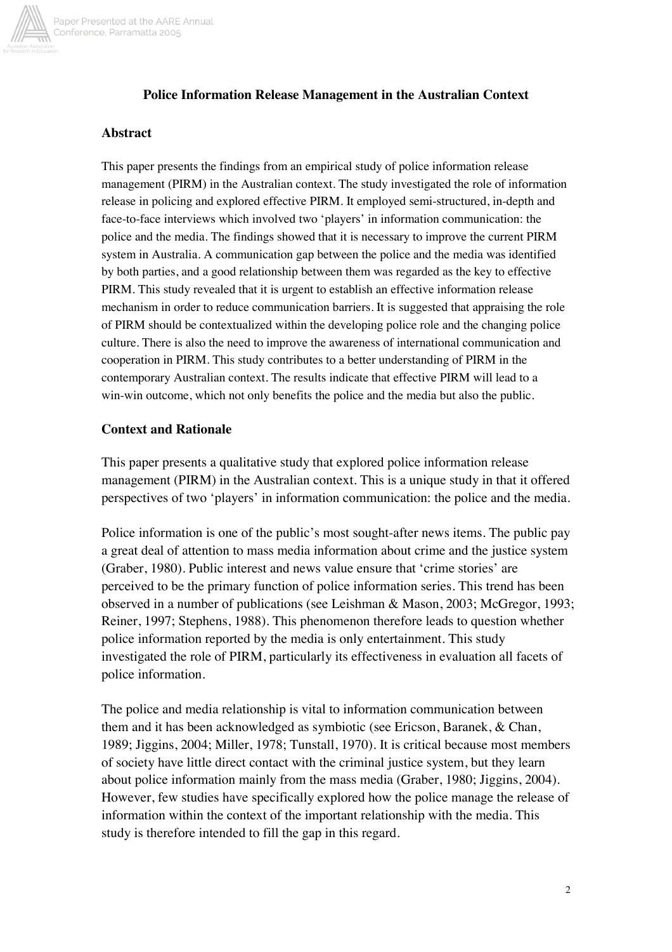

## **Police Information Release Management in the Australian Context**

#### **Abstract**

This paper presents the findings from an empirical study of police information release management (PIRM) in the Australian context. The study investigated the role of information release in policing and explored effective PIRM. It employed semi-structured, in-depth and face-to-face interviews which involved two 'players' in information communication: the police and the media. The findings showed that it is necessary to improve the current PIRM system in Australia. A communication gap between the police and the media was identified by both parties, and a good relationship between them was regarded as the key to effective PIRM. This study revealed that it is urgent to establish an effective information release mechanism in order to reduce communication barriers. It is suggested that appraising the role of PIRM should be contextualized within the developing police role and the changing police culture. There is also the need to improve the awareness of international communication and cooperation in PIRM. This study contributes to a better understanding of PIRM in the contemporary Australian context. The results indicate that effective PIRM will lead to a win-win outcome, which not only benefits the police and the media but also the public.

#### **Context and Rationale**

This paper presents a qualitative study that explored police information release management (PIRM) in the Australian context. This is a unique study in that it offered perspectives of two 'players' in information communication: the police and the media.

Police information is one of the public's most sought-after news items. The public pay a great deal of attention to mass media information about crime and the justice system (Graber, 1980). Public interest and news value ensure that 'crime stories' are perceived to be the primary function of police information series. This trend has been observed in a number of publications (see Leishman & Mason, 2003; McGregor, 1993; Reiner, 1997; Stephens, 1988). This phenomenon therefore leads to question whether police information reported by the media is only entertainment. This study investigated the role of PIRM, particularly its effectiveness in evaluation all facets of police information.

The police and media relationship is vital to information communication between them and it has been acknowledged as symbiotic (see Ericson, Baranek, & Chan, 1989; Jiggins, 2004; Miller, 1978; Tunstall, 1970). It is critical because most members of society have little direct contact with the criminal justice system, but they learn about police information mainly from the mass media (Graber, 1980; Jiggins, 2004). However, few studies have specifically explored how the police manage the release of information within the context of the important relationship with the media. This study is therefore intended to fill the gap in this regard.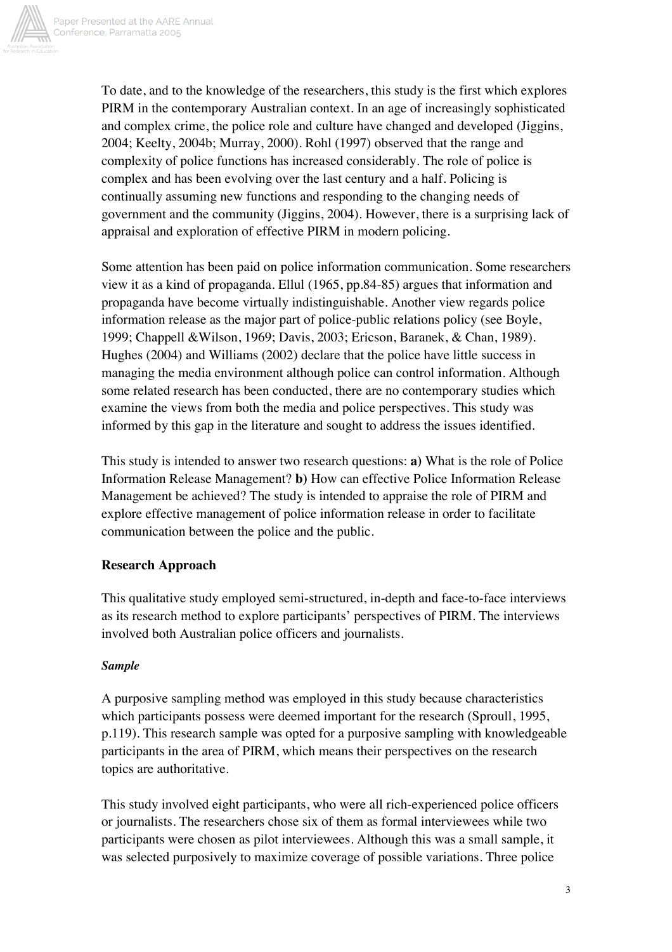

To date, and to the knowledge of the researchers, this study is the first which explores PIRM in the contemporary Australian context. In an age of increasingly sophisticated and complex crime, the police role and culture have changed and developed (Jiggins, 2004; Keelty, 2004b; Murray, 2000). Rohl (1997) observed that the range and complexity of police functions has increased considerably. The role of police is complex and has been evolving over the last century and a half. Policing is continually assuming new functions and responding to the changing needs of government and the community (Jiggins, 2004). However, there is a surprising lack of appraisal and exploration of effective PIRM in modern policing.

Some attention has been paid on police information communication. Some researchers view it as a kind of propaganda. Ellul (1965, pp.84-85) argues that information and propaganda have become virtually indistinguishable. Another view regards police information release as the major part of police-public relations policy (see Boyle, 1999; Chappell &Wilson, 1969; Davis, 2003; Ericson, Baranek, & Chan, 1989). Hughes (2004) and Williams (2002) declare that the police have little success in managing the media environment although police can control information. Although some related research has been conducted, there are no contemporary studies which examine the views from both the media and police perspectives. This study was informed by this gap in the literature and sought to address the issues identified.

This study is intended to answer two research questions: **a)** What is the role of Police Information Release Management? **b)** How can effective Police Information Release Management be achieved? The study is intended to appraise the role of PIRM and explore effective management of police information release in order to facilitate communication between the police and the public.

#### **Research Approach**

This qualitative study employed semi-structured, in-depth and face-to-face interviews as its research method to explore participants' perspectives of PIRM. The interviews involved both Australian police officers and journalists.

#### *Sample*

A purposive sampling method was employed in this study because characteristics which participants possess were deemed important for the research (Sproull, 1995, p.119). This research sample was opted for a purposive sampling with knowledgeable participants in the area of PIRM, which means their perspectives on the research topics are authoritative.

This study involved eight participants, who were all rich-experienced police officers or journalists. The researchers chose six of them as formal interviewees while two participants were chosen as pilot interviewees. Although this was a small sample, it was selected purposively to maximize coverage of possible variations. Three police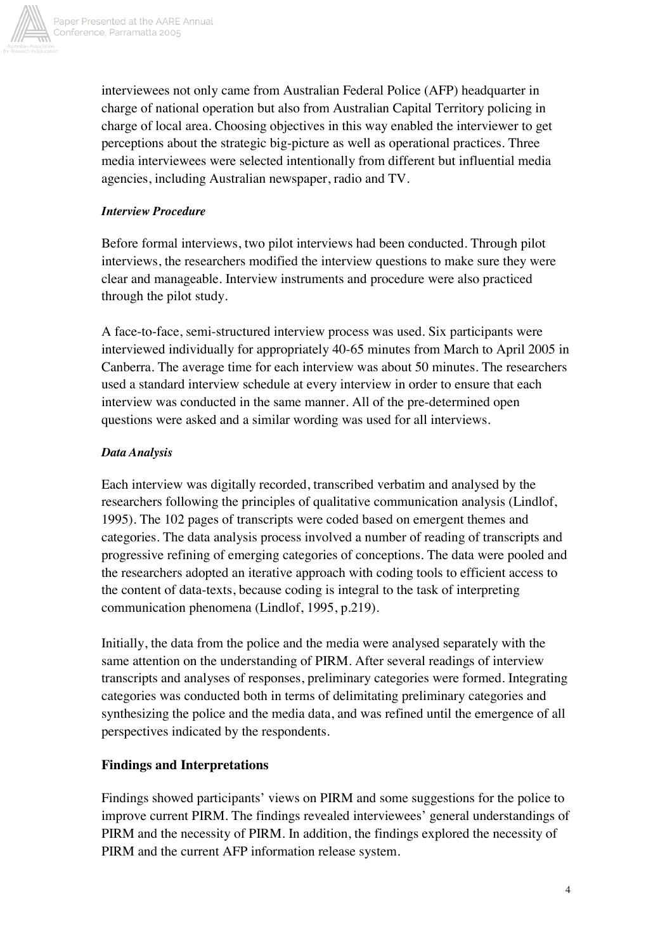

interviewees not only came from Australian Federal Police (AFP) headquarter in charge of national operation but also from Australian Capital Territory policing in charge of local area. Choosing objectives in this way enabled the interviewer to get perceptions about the strategic big-picture as well as operational practices. Three media interviewees were selected intentionally from different but influential media agencies, including Australian newspaper, radio and TV.

# *Interview Procedure*

Before formal interviews, two pilot interviews had been conducted. Through pilot interviews, the researchers modified the interview questions to make sure they were clear and manageable. Interview instruments and procedure were also practiced through the pilot study.

A face-to-face, semi-structured interview process was used. Six participants were interviewed individually for appropriately 40-65 minutes from March to April 2005 in Canberra. The average time for each interview was about 50 minutes. The researchers used a standard interview schedule at every interview in order to ensure that each interview was conducted in the same manner. All of the pre-determined open questions were asked and a similar wording was used for all interviews.

# *Data Analysis*

Each interview was digitally recorded, transcribed verbatim and analysed by the researchers following the principles of qualitative communication analysis (Lindlof, 1995). The 102 pages of transcripts were coded based on emergent themes and categories. The data analysis process involved a number of reading of transcripts and progressive refining of emerging categories of conceptions. The data were pooled and the researchers adopted an iterative approach with coding tools to efficient access to the content of data-texts, because coding is integral to the task of interpreting communication phenomena (Lindlof, 1995, p.219).

Initially, the data from the police and the media were analysed separately with the same attention on the understanding of PIRM. After several readings of interview transcripts and analyses of responses, preliminary categories were formed. Integrating categories was conducted both in terms of delimitating preliminary categories and synthesizing the police and the media data, and was refined until the emergence of all perspectives indicated by the respondents.

# **Findings and Interpretations**

Findings showed participants' views on PIRM and some suggestions for the police to improve current PIRM. The findings revealed interviewees' general understandings of PIRM and the necessity of PIRM. In addition, the findings explored the necessity of PIRM and the current AFP information release system.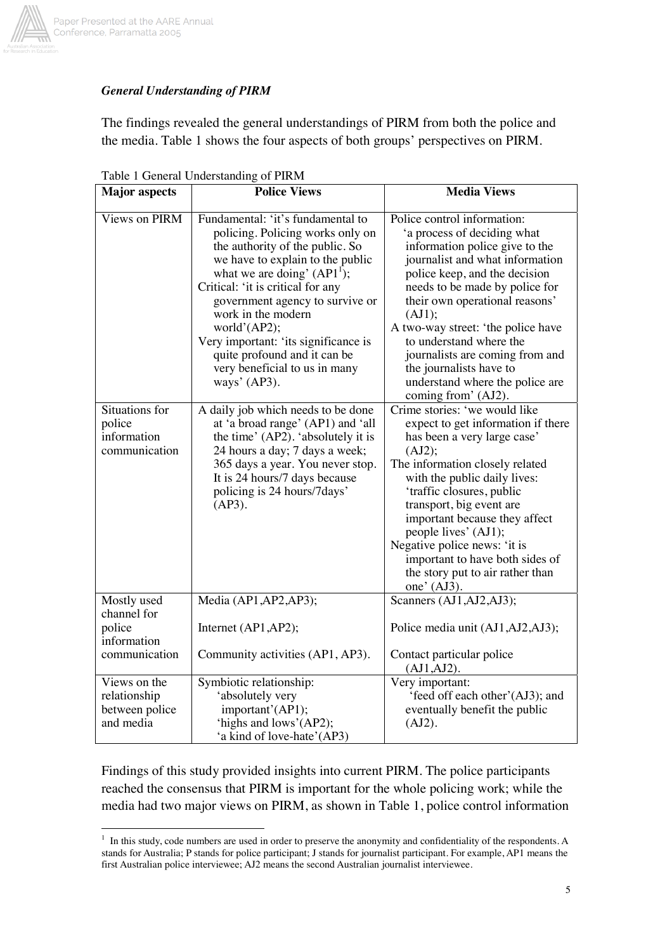

# *General Understanding of PIRM*

The findings revealed the general understandings of PIRM from both the police and the media. Table 1 shows the four aspects of both groups' perspectives on PIRM.

| <b>Major</b> aspects                                        | <b>Police Views</b>                                                                                                                                                                                                                                                                                                                                                                                                  | <b>Media Views</b>                                                                                                                                                                                                                                                                                                                                                                                                                      |
|-------------------------------------------------------------|----------------------------------------------------------------------------------------------------------------------------------------------------------------------------------------------------------------------------------------------------------------------------------------------------------------------------------------------------------------------------------------------------------------------|-----------------------------------------------------------------------------------------------------------------------------------------------------------------------------------------------------------------------------------------------------------------------------------------------------------------------------------------------------------------------------------------------------------------------------------------|
| <b>Views on PIRM</b>                                        | Fundamental: 'it's fundamental to<br>policing. Policing works only on<br>the authority of the public. So<br>we have to explain to the public<br>what we are doing' $(API1)$ ;<br>Critical: 'it is critical for any<br>government agency to survive or<br>work in the modern<br>world'(AP2);<br>Very important: 'its significance is<br>quite profound and it can be<br>very beneficial to us in many<br>ways' (AP3). | Police control information:<br>'a process of deciding what<br>information police give to the<br>journalist and what information<br>police keep, and the decision<br>needs to be made by police for<br>their own operational reasons'<br>(AJ1);<br>A two-way street: 'the police have<br>to understand where the<br>journalists are coming from and<br>the journalists have to<br>understand where the police are<br>coming from' (AJ2). |
| Situations for<br>police<br>information<br>communication    | A daily job which needs to be done<br>at 'a broad range' (AP1) and 'all<br>the time' (AP2). 'absolutely it is<br>24 hours a day; 7 days a week;<br>365 days a year. You never stop.<br>It is 24 hours/7 days because<br>policing is 24 hours/7days'<br>$(AP3)$ .                                                                                                                                                     | Crime stories: 'we would like<br>expect to get information if there<br>has been a very large case'<br>(AJ2);<br>The information closely related<br>with the public daily lives:<br>'traffic closures, public<br>transport, big event are<br>important because they affect<br>people lives' (AJ1);<br>Negative police news: 'it is<br>important to have both sides of<br>the story put to air rather than<br>one' $(AJ3)$ .              |
| Mostly used<br>channel for                                  | Media (AP1, AP2, AP3);                                                                                                                                                                                                                                                                                                                                                                                               | Scanners (AJ1, AJ2, AJ3);                                                                                                                                                                                                                                                                                                                                                                                                               |
| police<br>information                                       | Internet (AP1,AP2);                                                                                                                                                                                                                                                                                                                                                                                                  | Police media unit (AJ1, AJ2, AJ3);                                                                                                                                                                                                                                                                                                                                                                                                      |
| communication                                               | Community activities (AP1, AP3).                                                                                                                                                                                                                                                                                                                                                                                     | Contact particular police<br>$(AJ1, AJ2)$ .                                                                                                                                                                                                                                                                                                                                                                                             |
| Views on the<br>relationship<br>between police<br>and media | Symbiotic relationship:<br>'absolutely very<br>important'(AP1);<br>'highs and lows'(AP2);<br>'a kind of love-hate'(AP3)                                                                                                                                                                                                                                                                                              | Very important:<br>'feed off each other'(AJ3); and<br>eventually benefit the public<br>(AJ2).                                                                                                                                                                                                                                                                                                                                           |

Table 1 General Understanding of PIRM

Findings of this study provided insights into current PIRM. The police participants reached the consensus that PIRM is important for the whole policing work; while the media had two major views on PIRM, as shown in Table 1, police control information

 $\overline{a}$ <sup>1</sup> In this study, code numbers are used in order to preserve the anonymity and confidentiality of the respondents. A stands for Australia; P stands for police participant; J stands for journalist participant. For example, AP1 means the first Australian police interviewee; AJ2 means the second Australian journalist interviewee.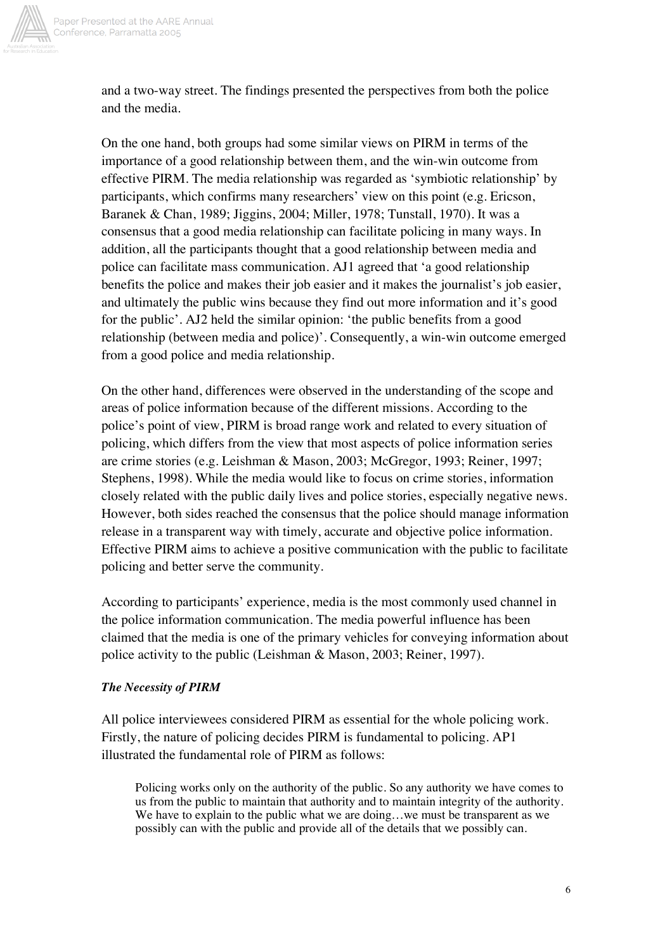

and a two-way street. The findings presented the perspectives from both the police and the media.

On the one hand, both groups had some similar views on PIRM in terms of the importance of a good relationship between them, and the win-win outcome from effective PIRM. The media relationship was regarded as 'symbiotic relationship' by participants, which confirms many researchers' view on this point (e.g. Ericson, Baranek & Chan, 1989; Jiggins, 2004; Miller, 1978; Tunstall, 1970). It was a consensus that a good media relationship can facilitate policing in many ways. In addition, all the participants thought that a good relationship between media and police can facilitate mass communication. AJ1 agreed that 'a good relationship benefits the police and makes their job easier and it makes the journalist's job easier, and ultimately the public wins because they find out more information and it's good for the public'. AJ2 held the similar opinion: 'the public benefits from a good relationship (between media and police)'. Consequently, a win-win outcome emerged from a good police and media relationship.

On the other hand, differences were observed in the understanding of the scope and areas of police information because of the different missions. According to the police's point of view, PIRM is broad range work and related to every situation of policing, which differs from the view that most aspects of police information series are crime stories (e.g. Leishman & Mason, 2003; McGregor, 1993; Reiner, 1997; Stephens, 1998). While the media would like to focus on crime stories, information closely related with the public daily lives and police stories, especially negative news. However, both sides reached the consensus that the police should manage information release in a transparent way with timely, accurate and objective police information. Effective PIRM aims to achieve a positive communication with the public to facilitate policing and better serve the community.

According to participants' experience, media is the most commonly used channel in the police information communication. The media powerful influence has been claimed that the media is one of the primary vehicles for conveying information about police activity to the public (Leishman & Mason, 2003; Reiner, 1997).

#### *The Necessity of PIRM*

All police interviewees considered PIRM as essential for the whole policing work. Firstly, the nature of policing decides PIRM is fundamental to policing. AP1 illustrated the fundamental role of PIRM as follows:

Policing works only on the authority of the public. So any authority we have comes to us from the public to maintain that authority and to maintain integrity of the authority. We have to explain to the public what we are doing...we must be transparent as we possibly can with the public and provide all of the details that we possibly can.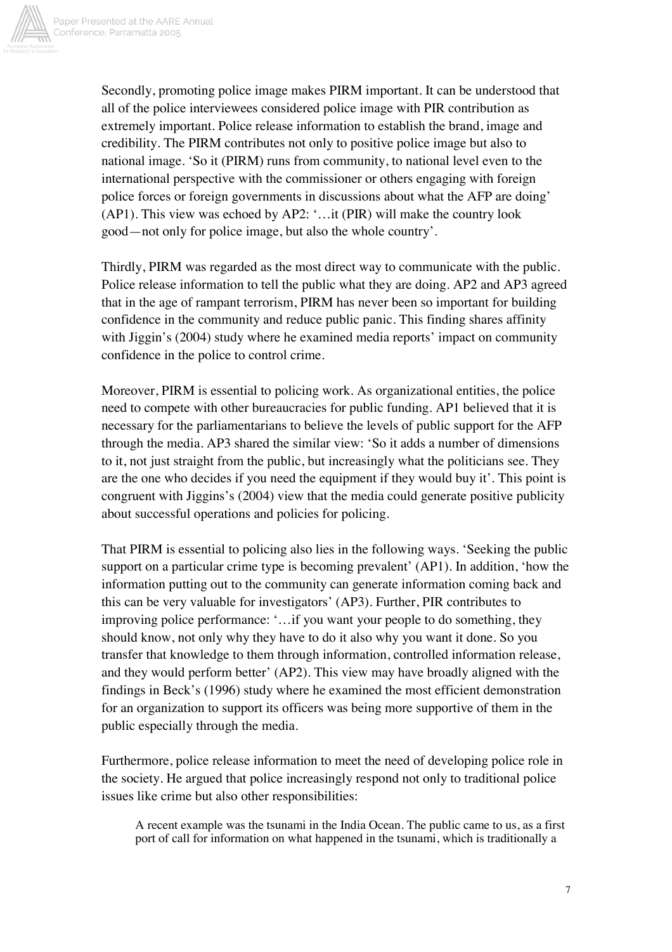

Secondly, promoting police image makes PIRM important. It can be understood that all of the police interviewees considered police image with PIR contribution as extremely important. Police release information to establish the brand, image and credibility. The PIRM contributes not only to positive police image but also to national image. 'So it (PIRM) runs from community, to national level even to the international perspective with the commissioner or others engaging with foreign police forces or foreign governments in discussions about what the AFP are doing' (AP1). This view was echoed by AP2: '…it (PIR) will make the country look good—not only for police image, but also the whole country'.

Thirdly, PIRM was regarded as the most direct way to communicate with the public. Police release information to tell the public what they are doing. AP2 and AP3 agreed that in the age of rampant terrorism, PIRM has never been so important for building confidence in the community and reduce public panic. This finding shares affinity with Jiggin's (2004) study where he examined media reports' impact on community confidence in the police to control crime.

Moreover, PIRM is essential to policing work. As organizational entities, the police need to compete with other bureaucracies for public funding. AP1 believed that it is necessary for the parliamentarians to believe the levels of public support for the AFP through the media. AP3 shared the similar view: 'So it adds a number of dimensions to it, not just straight from the public, but increasingly what the politicians see. They are the one who decides if you need the equipment if they would buy it'. This point is congruent with Jiggins's (2004) view that the media could generate positive publicity about successful operations and policies for policing.

That PIRM is essential to policing also lies in the following ways. 'Seeking the public support on a particular crime type is becoming prevalent' (AP1). In addition, 'how the information putting out to the community can generate information coming back and this can be very valuable for investigators' (AP3). Further, PIR contributes to improving police performance: '…if you want your people to do something, they should know, not only why they have to do it also why you want it done. So you transfer that knowledge to them through information, controlled information release, and they would perform better' (AP2). This view may have broadly aligned with the findings in Beck's (1996) study where he examined the most efficient demonstration for an organization to support its officers was being more supportive of them in the public especially through the media.

Furthermore, police release information to meet the need of developing police role in the society. He argued that police increasingly respond not only to traditional police issues like crime but also other responsibilities:

A recent example was the tsunami in the India Ocean. The public came to us, as a first port of call for information on what happened in the tsunami, which is traditionally a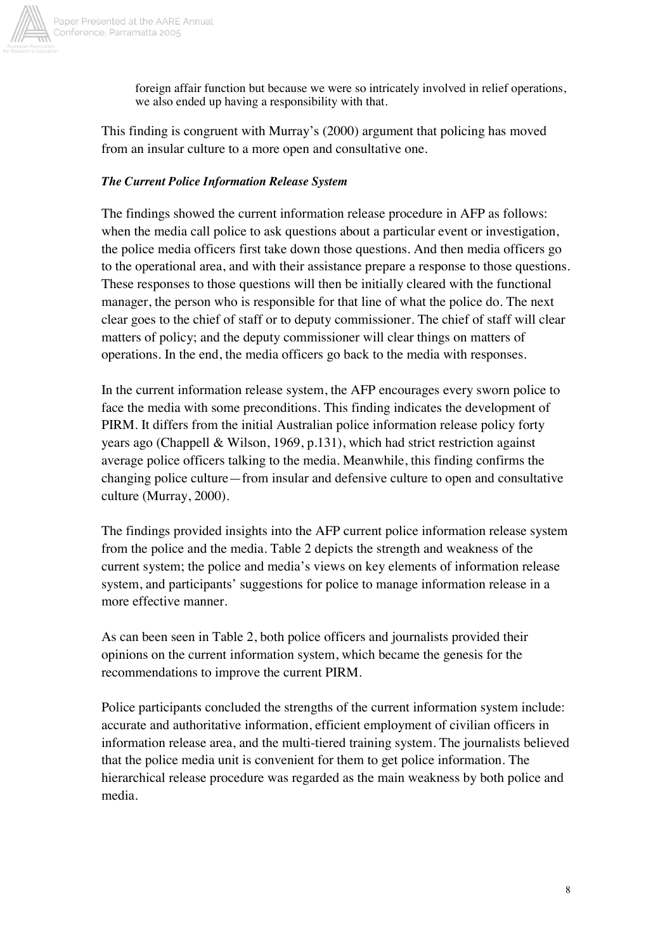

foreign affair function but because we were so intricately involved in relief operations, we also ended up having a responsibility with that.

This finding is congruent with Murray's (2000) argument that policing has moved from an insular culture to a more open and consultative one.

## *The Current Police Information Release System*

The findings showed the current information release procedure in AFP as follows: when the media call police to ask questions about a particular event or investigation, the police media officers first take down those questions. And then media officers go to the operational area, and with their assistance prepare a response to those questions. These responses to those questions will then be initially cleared with the functional manager, the person who is responsible for that line of what the police do. The next clear goes to the chief of staff or to deputy commissioner. The chief of staff will clear matters of policy; and the deputy commissioner will clear things on matters of operations. In the end, the media officers go back to the media with responses.

In the current information release system, the AFP encourages every sworn police to face the media with some preconditions. This finding indicates the development of PIRM. It differs from the initial Australian police information release policy forty years ago (Chappell & Wilson, 1969, p.131), which had strict restriction against average police officers talking to the media. Meanwhile, this finding confirms the changing police culture—from insular and defensive culture to open and consultative culture (Murray, 2000).

The findings provided insights into the AFP current police information release system from the police and the media. Table 2 depicts the strength and weakness of the current system; the police and media's views on key elements of information release system, and participants' suggestions for police to manage information release in a more effective manner.

As can been seen in Table 2, both police officers and journalists provided their opinions on the current information system, which became the genesis for the recommendations to improve the current PIRM.

Police participants concluded the strengths of the current information system include: accurate and authoritative information, efficient employment of civilian officers in information release area, and the multi-tiered training system. The journalists believed that the police media unit is convenient for them to get police information. The hierarchical release procedure was regarded as the main weakness by both police and media.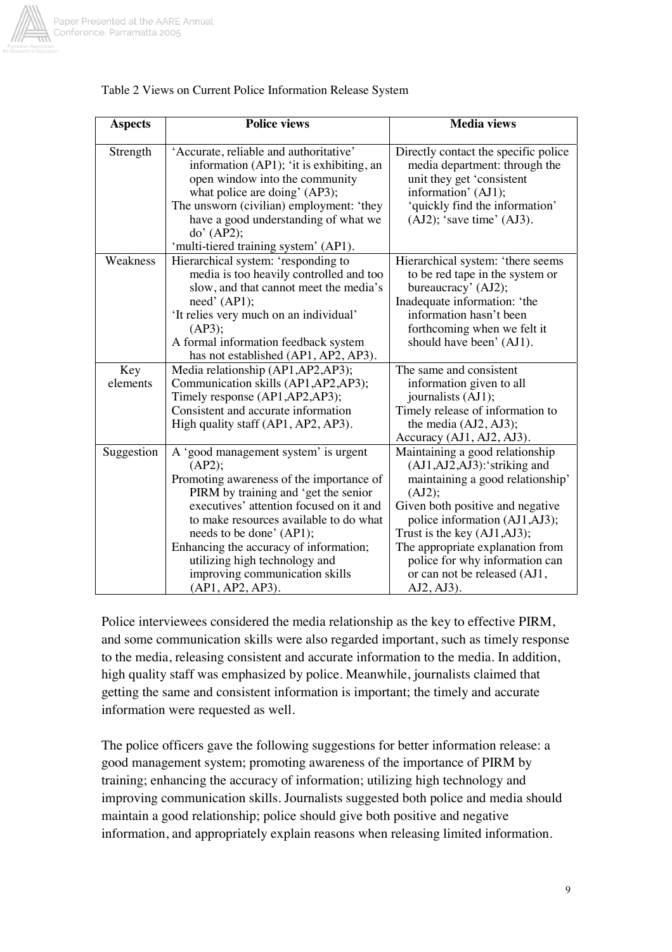

| <b>Aspects</b>  | <b>Police views</b>                                                                                                                                                                                                                                                                                                                                                                  | <b>Media views</b>                                                                                                                                                                                                                                                                                                                        |
|-----------------|--------------------------------------------------------------------------------------------------------------------------------------------------------------------------------------------------------------------------------------------------------------------------------------------------------------------------------------------------------------------------------------|-------------------------------------------------------------------------------------------------------------------------------------------------------------------------------------------------------------------------------------------------------------------------------------------------------------------------------------------|
| Strength        | 'Accurate, reliable and authoritative'<br>information (AP1); 'it is exhibiting, an<br>open window into the community<br>what police are doing' (AP3);<br>The unsworn (civilian) employment: 'they<br>have a good understanding of what we<br>do' (AP2);<br>'multi-tiered training system' (AP1).                                                                                     | Directly contact the specific police<br>media department: through the<br>unit they get 'consistent<br>information' (AJ1);<br>'quickly find the information'<br>$(AJ2)$ ; 'save time' $(AJ3)$ .                                                                                                                                            |
| Weakness        | Hierarchical system: 'responding to<br>media is too heavily controlled and too<br>slow, and that cannot meet the media's<br>need' (API);<br>'It relies very much on an individual'<br>(AP3);<br>A formal information feedback system<br>has not established (AP1, AP2, AP3).                                                                                                         | Hierarchical system: 'there seems<br>to be red tape in the system or<br>bureaucracy' (AJ2);<br>Inadequate information: 'the<br>information hasn't been<br>forthcoming when we felt it<br>should have been' (AJ1).                                                                                                                         |
| Key<br>elements | Media relationship (AP1, AP2, AP3);<br>Communication skills (AP1, AP2, AP3);<br>Timely response (AP1, AP2, AP3);<br>Consistent and accurate information<br>High quality staff (AP1, AP2, AP3).                                                                                                                                                                                       | The same and consistent<br>information given to all<br>journalists (AJ1);<br>Timely release of information to<br>the media (AJ2, AJ3);<br>Accuracy (AJ1, AJ2, AJ3).                                                                                                                                                                       |
| Suggestion      | A 'good management system' is urgent<br>(AP2);<br>Promoting awareness of the importance of<br>PIRM by training and 'get the senior<br>executives' attention focused on it and<br>to make resources available to do what<br>needs to be done' (AP1);<br>Enhancing the accuracy of information;<br>utilizing high technology and<br>improving communication skills<br>(AP1, AP2, AP3). | Maintaining a good relationship<br>(AJ1,AJ2,AJ3):'striking and<br>maintaining a good relationship'<br>(AJ2);<br>Given both positive and negative<br>police information (AJ1, AJ3);<br>Trust is the key (AJ1, AJ3);<br>The appropriate explanation from<br>police for why information can<br>or can not be released (AJ1,<br>$AJ2, AJ3$ ). |

#### Table 2 Views on Current Police Information Release System

Police interviewees considered the media relationship as the key to effective PIRM, and some communication skills were also regarded important, such as timely response to the media, releasing consistent and accurate information to the media. In addition, high quality staff was emphasized by police. Meanwhile, journalists claimed that getting the same and consistent information is important; the timely and accurate information were requested as well.

The police officers gave the following suggestions for better information release: a good management system; promoting awareness of the importance of PIRM by training; enhancing the accuracy of information; utilizing high technology and improving communication skills. Journalists suggested both police and media should maintain a good relationship; police should give both positive and negative information, and appropriately explain reasons when releasing limited information.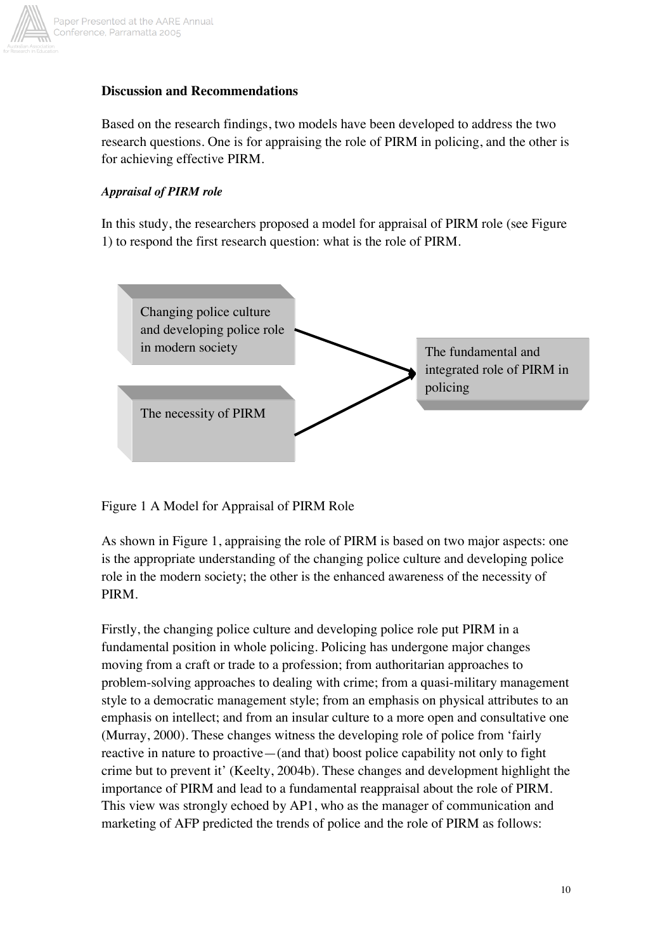

# **Discussion and Recommendations**

Based on the research findings, two models have been developed to address the two research questions. One is for appraising the role of PIRM in policing, and the other is for achieving effective PIRM.

## *Appraisal of PIRM role*

In this study, the researchers proposed a model for appraisal of PIRM role (see Figure 1) to respond the first research question: what is the role of PIRM.



Figure 1 A Model for Appraisal of PIRM Role

As shown in Figure 1, appraising the role of PIRM is based on two major aspects: one is the appropriate understanding of the changing police culture and developing police role in the modern society; the other is the enhanced awareness of the necessity of PIRM.

Firstly, the changing police culture and developing police role put PIRM in a fundamental position in whole policing. Policing has undergone major changes moving from a craft or trade to a profession; from authoritarian approaches to problem-solving approaches to dealing with crime; from a quasi-military management style to a democratic management style; from an emphasis on physical attributes to an emphasis on intellect; and from an insular culture to a more open and consultative one (Murray, 2000). These changes witness the developing role of police from 'fairly reactive in nature to proactive—(and that) boost police capability not only to fight crime but to prevent it' (Keelty, 2004b). These changes and development highlight the importance of PIRM and lead to a fundamental reappraisal about the role of PIRM. This view was strongly echoed by AP1, who as the manager of communication and marketing of AFP predicted the trends of police and the role of PIRM as follows: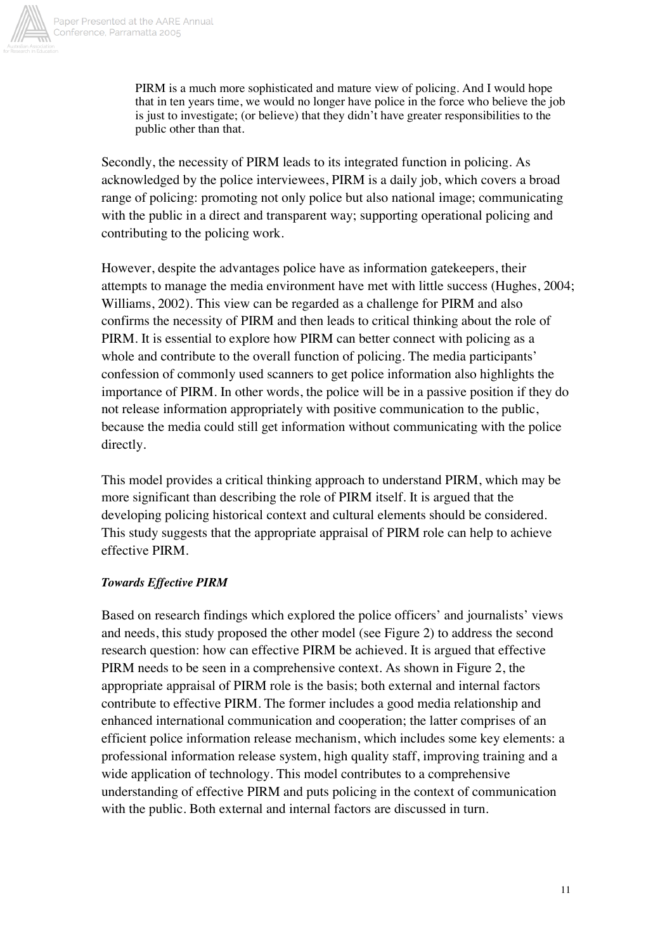

PIRM is a much more sophisticated and mature view of policing. And I would hope that in ten years time, we would no longer have police in the force who believe the job is just to investigate; (or believe) that they didn't have greater responsibilities to the public other than that.

Secondly, the necessity of PIRM leads to its integrated function in policing. As acknowledged by the police interviewees, PIRM is a daily job, which covers a broad range of policing: promoting not only police but also national image; communicating with the public in a direct and transparent way; supporting operational policing and contributing to the policing work.

However, despite the advantages police have as information gatekeepers, their attempts to manage the media environment have met with little success (Hughes, 2004; Williams, 2002). This view can be regarded as a challenge for PIRM and also confirms the necessity of PIRM and then leads to critical thinking about the role of PIRM. It is essential to explore how PIRM can better connect with policing as a whole and contribute to the overall function of policing. The media participants' confession of commonly used scanners to get police information also highlights the importance of PIRM. In other words, the police will be in a passive position if they do not release information appropriately with positive communication to the public, because the media could still get information without communicating with the police directly.

This model provides a critical thinking approach to understand PIRM, which may be more significant than describing the role of PIRM itself. It is argued that the developing policing historical context and cultural elements should be considered. This study suggests that the appropriate appraisal of PIRM role can help to achieve effective PIRM.

#### *Towards Effective PIRM*

Based on research findings which explored the police officers' and journalists' views and needs, this study proposed the other model (see Figure 2) to address the second research question: how can effective PIRM be achieved. It is argued that effective PIRM needs to be seen in a comprehensive context. As shown in Figure 2, the appropriate appraisal of PIRM role is the basis; both external and internal factors contribute to effective PIRM. The former includes a good media relationship and enhanced international communication and cooperation; the latter comprises of an efficient police information release mechanism, which includes some key elements: a professional information release system, high quality staff, improving training and a wide application of technology. This model contributes to a comprehensive understanding of effective PIRM and puts policing in the context of communication with the public. Both external and internal factors are discussed in turn.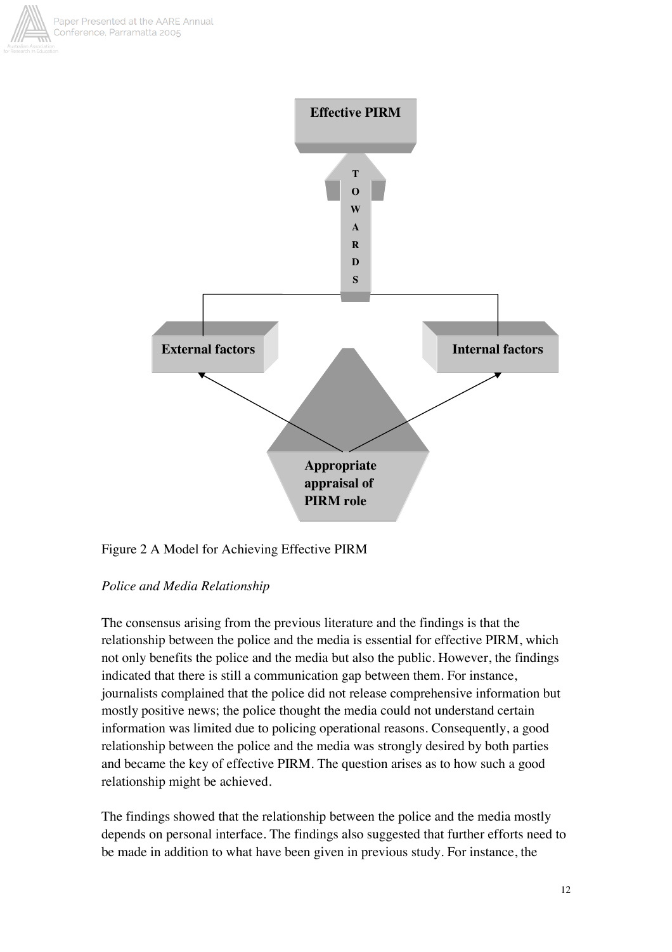



# Figure 2 A Model for Achieving Effective PIRM

#### *Police and Media Relationship*

The consensus arising from the previous literature and the findings is that the relationship between the police and the media is essential for effective PIRM, which not only benefits the police and the media but also the public. However, the findings indicated that there is still a communication gap between them. For instance, journalists complained that the police did not release comprehensive information but mostly positive news; the police thought the media could not understand certain information was limited due to policing operational reasons. Consequently, a good relationship between the police and the media was strongly desired by both parties and became the key of effective PIRM. The question arises as to how such a good relationship might be achieved.

The findings showed that the relationship between the police and the media mostly depends on personal interface. The findings also suggested that further efforts need to be made in addition to what have been given in previous study. For instance, the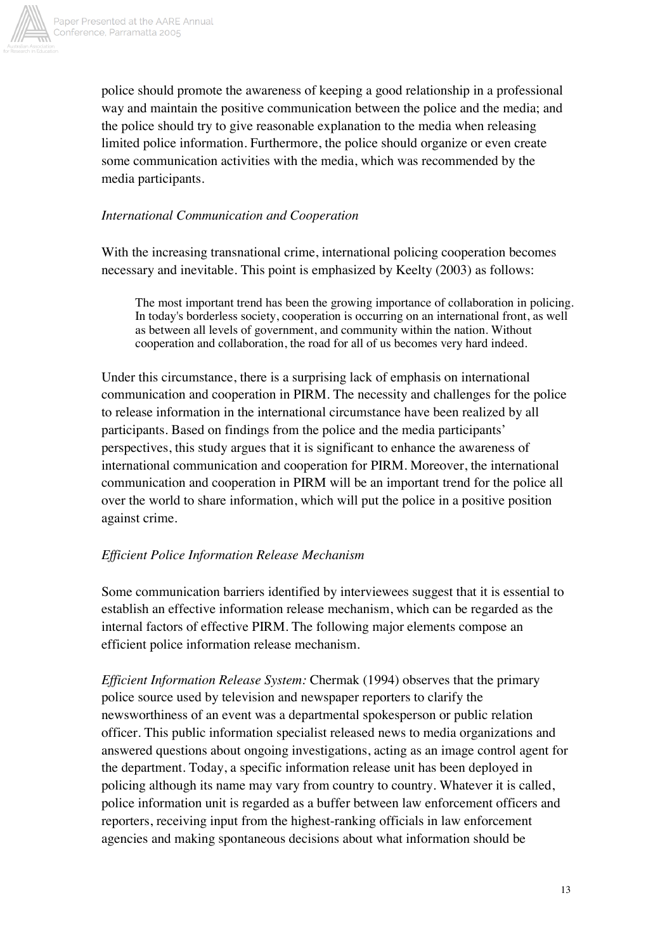

police should promote the awareness of keeping a good relationship in a professional way and maintain the positive communication between the police and the media; and the police should try to give reasonable explanation to the media when releasing limited police information. Furthermore, the police should organize or even create some communication activities with the media, which was recommended by the media participants.

# *International Communication and Cooperation*

With the increasing transnational crime, international policing cooperation becomes necessary and inevitable. This point is emphasized by Keelty (2003) as follows:

The most important trend has been the growing importance of collaboration in policing. In today's borderless society, cooperation is occurring on an international front, as well as between all levels of government, and community within the nation. Without cooperation and collaboration, the road for all of us becomes very hard indeed.

Under this circumstance, there is a surprising lack of emphasis on international communication and cooperation in PIRM. The necessity and challenges for the police to release information in the international circumstance have been realized by all participants. Based on findings from the police and the media participants' perspectives, this study argues that it is significant to enhance the awareness of international communication and cooperation for PIRM. Moreover, the international communication and cooperation in PIRM will be an important trend for the police all over the world to share information, which will put the police in a positive position against crime.

# *Efficient Police Information Release Mechanism*

Some communication barriers identified by interviewees suggest that it is essential to establish an effective information release mechanism, which can be regarded as the internal factors of effective PIRM. The following major elements compose an efficient police information release mechanism.

*Efficient Information Release System:* Chermak (1994) observes that the primary police source used by television and newspaper reporters to clarify the newsworthiness of an event was a departmental spokesperson or public relation officer. This public information specialist released news to media organizations and answered questions about ongoing investigations, acting as an image control agent for the department. Today, a specific information release unit has been deployed in policing although its name may vary from country to country. Whatever it is called, police information unit is regarded as a buffer between law enforcement officers and reporters, receiving input from the highest-ranking officials in law enforcement agencies and making spontaneous decisions about what information should be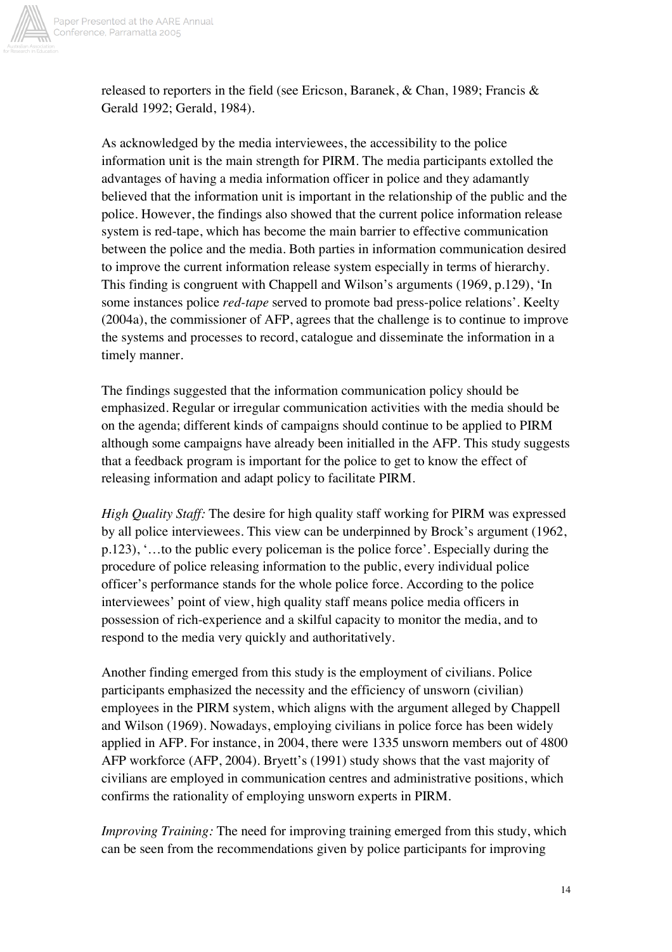

released to reporters in the field (see Ericson, Baranek, & Chan, 1989; Francis & Gerald 1992; Gerald, 1984).

As acknowledged by the media interviewees, the accessibility to the police information unit is the main strength for PIRM. The media participants extolled the advantages of having a media information officer in police and they adamantly believed that the information unit is important in the relationship of the public and the police. However, the findings also showed that the current police information release system is red-tape, which has become the main barrier to effective communication between the police and the media. Both parties in information communication desired to improve the current information release system especially in terms of hierarchy. This finding is congruent with Chappell and Wilson's arguments (1969, p.129), 'In some instances police *red-tape* served to promote bad press-police relations'. Keelty (2004a), the commissioner of AFP, agrees that the challenge is to continue to improve the systems and processes to record, catalogue and disseminate the information in a timely manner.

The findings suggested that the information communication policy should be emphasized. Regular or irregular communication activities with the media should be on the agenda; different kinds of campaigns should continue to be applied to PIRM although some campaigns have already been initialled in the AFP. This study suggests that a feedback program is important for the police to get to know the effect of releasing information and adapt policy to facilitate PIRM.

*High Quality Staff:* The desire for high quality staff working for PIRM was expressed by all police interviewees. This view can be underpinned by Brock's argument (1962, p.123), '…to the public every policeman is the police force'. Especially during the procedure of police releasing information to the public, every individual police officer's performance stands for the whole police force. According to the police interviewees' point of view, high quality staff means police media officers in possession of rich-experience and a skilful capacity to monitor the media, and to respond to the media very quickly and authoritatively.

Another finding emerged from this study is the employment of civilians. Police participants emphasized the necessity and the efficiency of unsworn (civilian) employees in the PIRM system, which aligns with the argument alleged by Chappell and Wilson (1969). Nowadays, employing civilians in police force has been widely applied in AFP. For instance, in 2004, there were 1335 unsworn members out of 4800 AFP workforce (AFP, 2004). Bryett's (1991) study shows that the vast majority of civilians are employed in communication centres and administrative positions, which confirms the rationality of employing unsworn experts in PIRM.

*Improving Training:* The need for improving training emerged from this study, which can be seen from the recommendations given by police participants for improving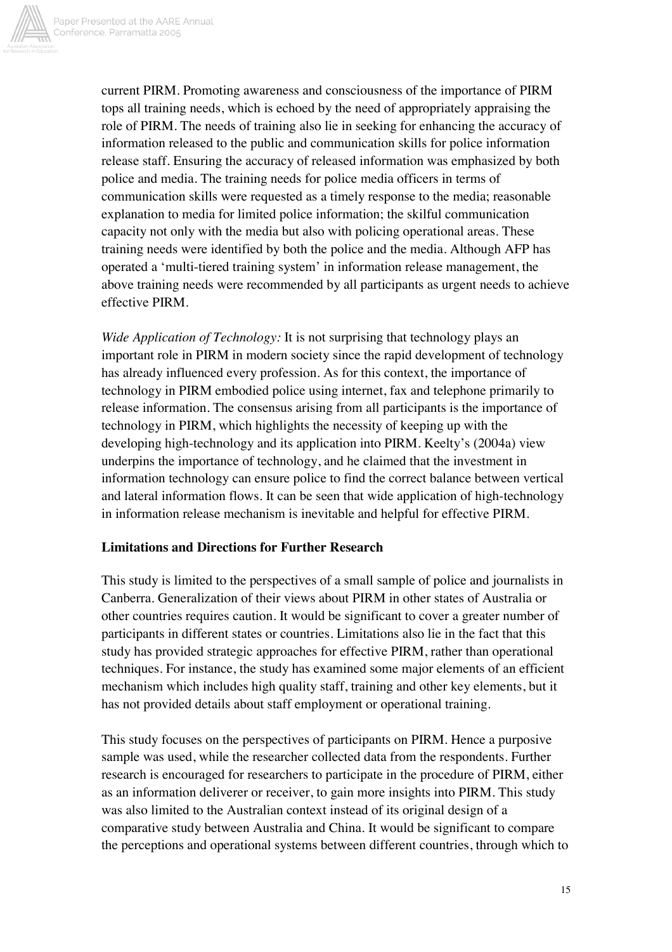

current PIRM. Promoting awareness and consciousness of the importance of PIRM tops all training needs, which is echoed by the need of appropriately appraising the role of PIRM. The needs of training also lie in seeking for enhancing the accuracy of information released to the public and communication skills for police information release staff. Ensuring the accuracy of released information was emphasized by both police and media. The training needs for police media officers in terms of communication skills were requested as a timely response to the media; reasonable explanation to media for limited police information; the skilful communication capacity not only with the media but also with policing operational areas. These training needs were identified by both the police and the media. Although AFP has operated a 'multi-tiered training system' in information release management, the above training needs were recommended by all participants as urgent needs to achieve effective PIRM.

*Wide Application of Technology:* It is not surprising that technology plays an important role in PIRM in modern society since the rapid development of technology has already influenced every profession. As for this context, the importance of technology in PIRM embodied police using internet, fax and telephone primarily to release information. The consensus arising from all participants is the importance of technology in PIRM, which highlights the necessity of keeping up with the developing high-technology and its application into PIRM. Keelty's (2004a) view underpins the importance of technology, and he claimed that the investment in information technology can ensure police to find the correct balance between vertical and lateral information flows. It can be seen that wide application of high-technology in information release mechanism is inevitable and helpful for effective PIRM.

#### **Limitations and Directions for Further Research**

This study is limited to the perspectives of a small sample of police and journalists in Canberra. Generalization of their views about PIRM in other states of Australia or other countries requires caution. It would be significant to cover a greater number of participants in different states or countries. Limitations also lie in the fact that this study has provided strategic approaches for effective PIRM, rather than operational techniques. For instance, the study has examined some major elements of an efficient mechanism which includes high quality staff, training and other key elements, but it has not provided details about staff employment or operational training.

This study focuses on the perspectives of participants on PIRM. Hence a purposive sample was used, while the researcher collected data from the respondents. Further research is encouraged for researchers to participate in the procedure of PIRM, either as an information deliverer or receiver, to gain more insights into PIRM. This study was also limited to the Australian context instead of its original design of a comparative study between Australia and China. It would be significant to compare the perceptions and operational systems between different countries, through which to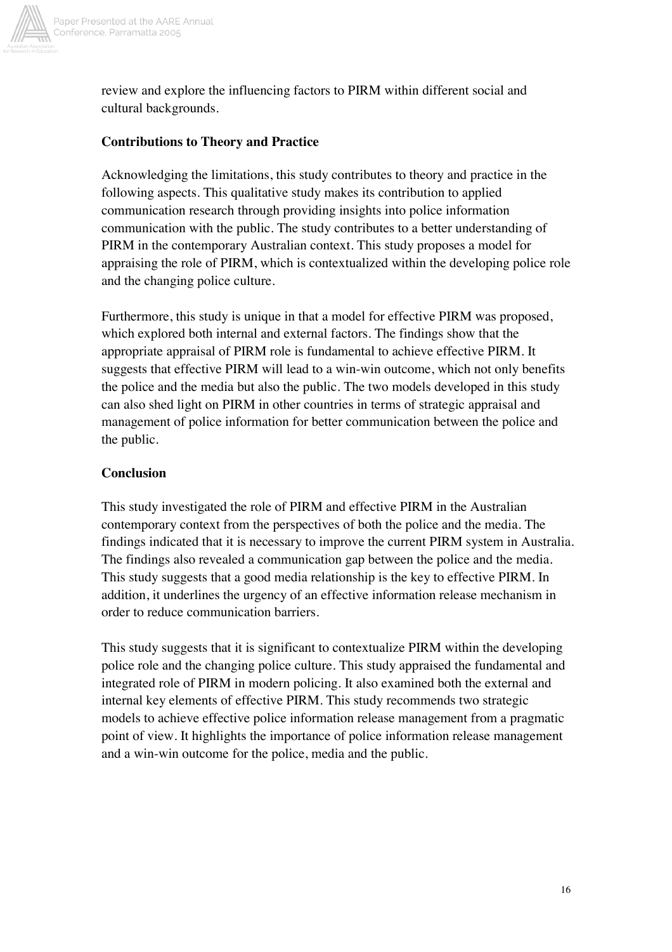

review and explore the influencing factors to PIRM within different social and cultural backgrounds.

### **Contributions to Theory and Practice**

Acknowledging the limitations, this study contributes to theory and practice in the following aspects. This qualitative study makes its contribution to applied communication research through providing insights into police information communication with the public. The study contributes to a better understanding of PIRM in the contemporary Australian context. This study proposes a model for appraising the role of PIRM, which is contextualized within the developing police role and the changing police culture.

Furthermore, this study is unique in that a model for effective PIRM was proposed, which explored both internal and external factors. The findings show that the appropriate appraisal of PIRM role is fundamental to achieve effective PIRM. It suggests that effective PIRM will lead to a win-win outcome, which not only benefits the police and the media but also the public. The two models developed in this study can also shed light on PIRM in other countries in terms of strategic appraisal and management of police information for better communication between the police and the public.

## **Conclusion**

This study investigated the role of PIRM and effective PIRM in the Australian contemporary context from the perspectives of both the police and the media. The findings indicated that it is necessary to improve the current PIRM system in Australia. The findings also revealed a communication gap between the police and the media. This study suggests that a good media relationship is the key to effective PIRM. In addition, it underlines the urgency of an effective information release mechanism in order to reduce communication barriers.

This study suggests that it is significant to contextualize PIRM within the developing police role and the changing police culture. This study appraised the fundamental and integrated role of PIRM in modern policing. It also examined both the external and internal key elements of effective PIRM. This study recommends two strategic models to achieve effective police information release management from a pragmatic point of view. It highlights the importance of police information release management and a win-win outcome for the police, media and the public.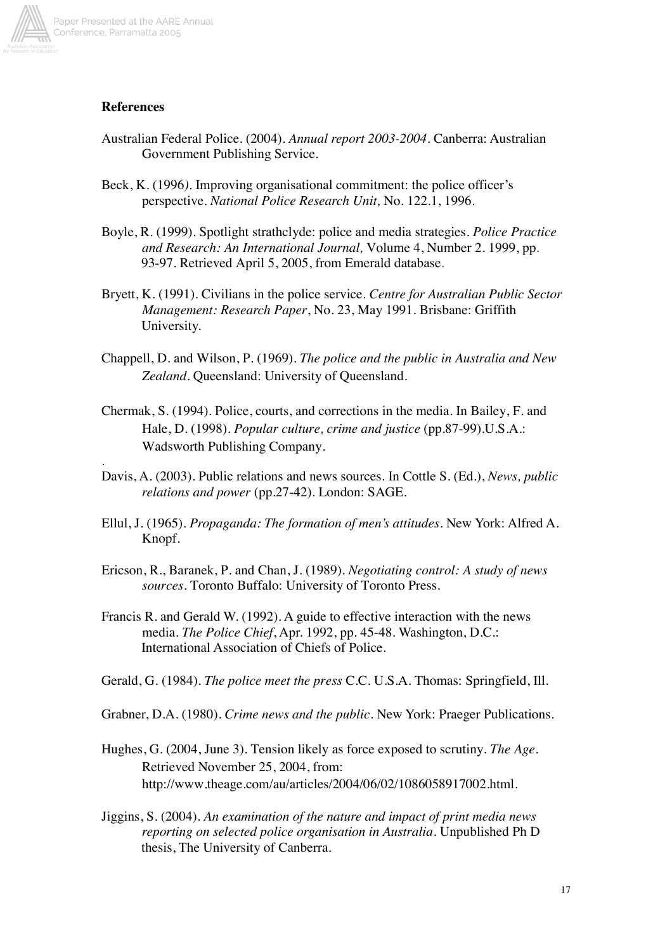

.

#### **References**

- Australian Federal Police. (2004). *Annual report 2003-2004.* Canberra: Australian Government Publishing Service.
- Beck, K. (1996*).* Improving organisational commitment: the police officer's perspective. *National Police Research Unit,* No. 122.1, 1996.
- Boyle, R. (1999). Spotlight strathclyde: police and media strategies. *Police Practice and Research: An International Journal,* Volume 4, Number 2. 1999, pp. 93-97. Retrieved April 5, 2005, from Emerald database.
- Bryett, K. (1991). Civilians in the police service. *Centre for Australian Public Sector Management: Research Paper*, No. 23, May 1991*.* Brisbane: Griffith University.
- Chappell, D. and Wilson, P. (1969). *The police and the public in Australia and New Zealand*. Queensland: University of Queensland.
- Chermak, S. (1994). Police, courts, and corrections in the media. In Bailey, F. and Hale, D. (1998). *Popular culture, crime and justice* (pp.87-99).U.S.A.: Wadsworth Publishing Company.
- Davis, A. (2003). Public relations and news sources. In Cottle S. (Ed.), *News, public relations and power* (pp.27-42). London: SAGE.
- Ellul, J. (1965). *Propaganda: The formation of men's attitudes*. New York: Alfred A. Knopf.
- Ericson, R., Baranek, P. and Chan, J. (1989). *Negotiating control: A study of news sources.* Toronto Buffalo: University of Toronto Press.
- Francis R. and Gerald W. (1992). A guide to effective interaction with the news media. *The Police Chief*, Apr. 1992, pp. 45-48. Washington, D.C.: International Association of Chiefs of Police.

Gerald, G. (1984). *The police meet the press* C.C. U.S.A. Thomas: Springfield, Ill.

- Grabner, D.A. (1980). *Crime news and the public*. New York: Praeger Publications.
- Hughes, G. (2004, June 3). Tension likely as force exposed to scrutiny. *The Age.* Retrieved November 25, 2004, from: http://www.theage.com/au/articles/2004/06/02/1086058917002.html.
- Jiggins, S. (2004). *An examination of the nature and impact of print media news reporting on selected police organisation in Australia.* Unpublished Ph D thesis, The University of Canberra.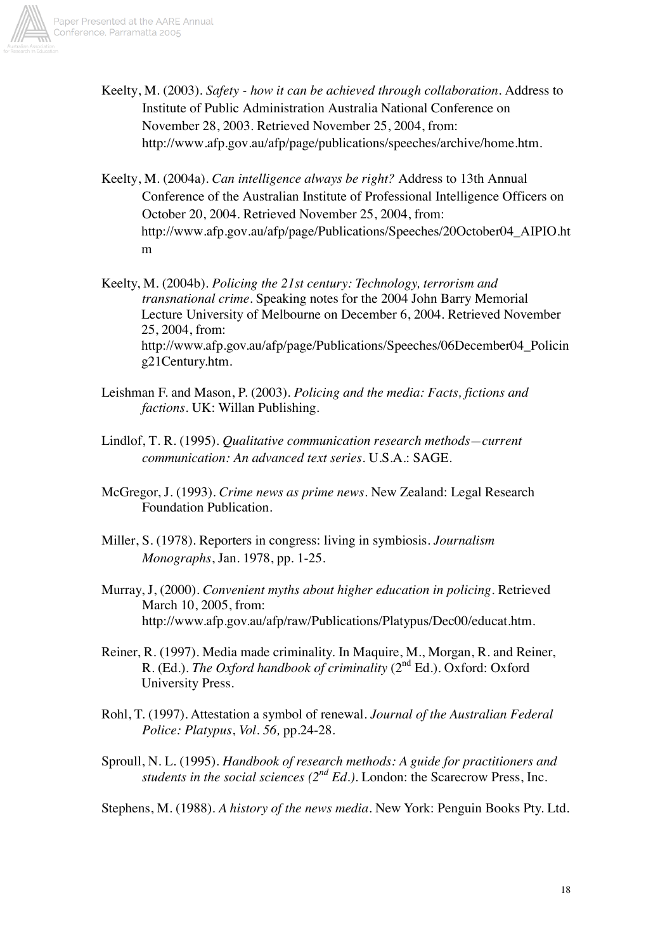

- Keelty, M. (2003). *Safety how it can be achieved through collaboration.* Address to Institute of Public Administration Australia National Conference on November 28, 2003. Retrieved November 25, 2004, from: http://www.afp.gov.au/afp/page/publications/speeches/archive/home.htm.
- Keelty, M. (2004a). *Can intelligence always be right?* Address to 13th Annual Conference of the Australian Institute of Professional Intelligence Officers on October 20, 2004. Retrieved November 25, 2004, from: http://www.afp.gov.au/afp/page/Publications/Speeches/20October04\_AIPIO.ht m
- Keelty, M. (2004b). *Policing the 21st century: Technology, terrorism and transnational crime*. Speaking notes for the 2004 John Barry Memorial Lecture University of Melbourne on December 6, 2004. Retrieved November 25, 2004, from: http://www.afp.gov.au/afp/page/Publications/Speeches/06December04\_Policin g21Century.htm.
- Leishman F. and Mason, P. (2003). *Policing and the media: Facts, fictions and factions*. UK: Willan Publishing.
- Lindlof, T. R. (1995). *Qualitative communication research methods—current communication: An advanced text series.* U.S.A.: SAGE.
- McGregor, J. (1993). *Crime news as prime news*. New Zealand: Legal Research Foundation Publication.
- Miller, S. (1978). Reporters in congress: living in symbiosis. *Journalism Monographs*, Jan. 1978, pp. 1-25.
- Murray, J, (2000). *Convenient myths about higher education in policing.* Retrieved March 10, 2005, from: http://www.afp.gov.au/afp/raw/Publications/Platypus/Dec00/educat.htm.
- Reiner, R. (1997). Media made criminality. In Maquire, M., Morgan, R. and Reiner, R. (Ed.). *The Oxford handbook of criminality* (2<sup>nd</sup> Ed.). Oxford: Oxford University Press.
- Rohl, T. (1997). Attestation a symbol of renewal. *Journal of the Australian Federal Police: Platypus*, *Vol. 56,* pp.24-28.
- Sproull, N. L. (1995). *Handbook of research methods: A guide for practitioners and students in the social sciences (2nd Ed.).* London: the Scarecrow Press, Inc.
- Stephens, M. (1988). *A history of the news media.* New York: Penguin Books Pty. Ltd.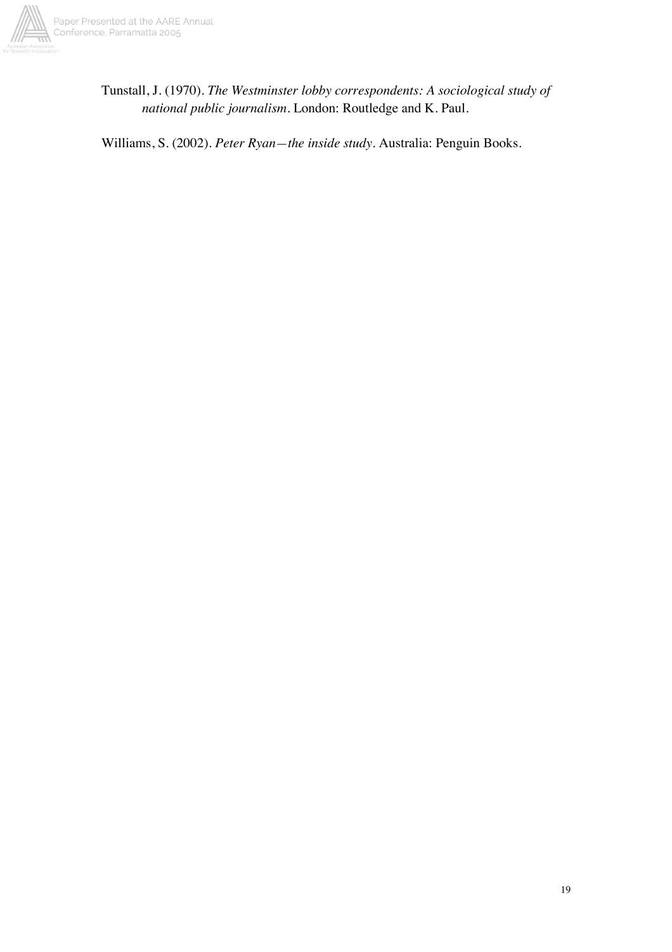

Tunstall, J. (1970). *The Westminster lobby correspondents: A sociological study of national public journalism*. London: Routledge and K. Paul.

Williams, S. (2002). *Peter Ryan—the inside study*. Australia: Penguin Books.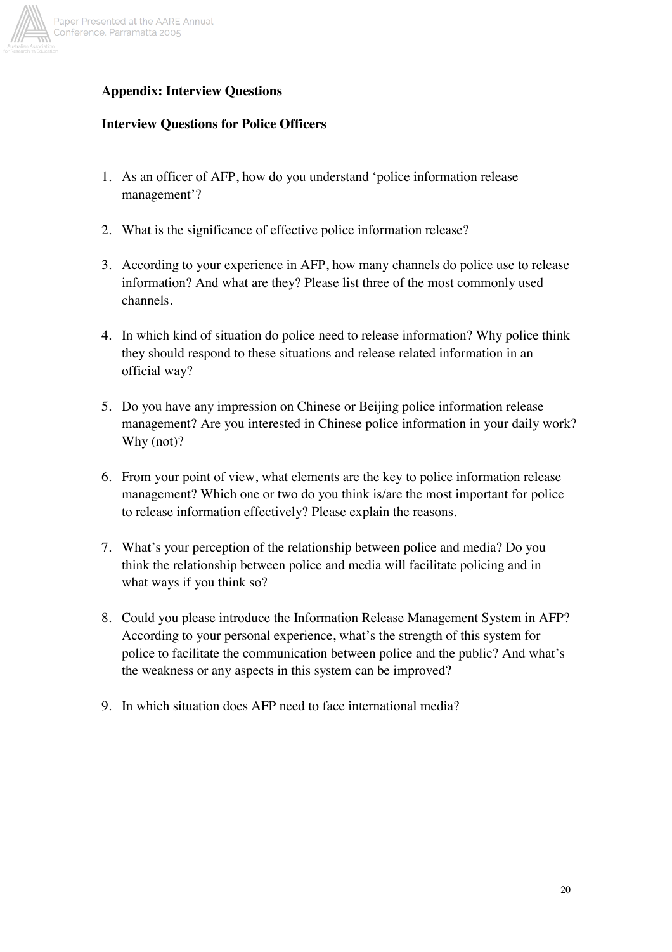

# **Appendix: Interview Questions**

## **Interview Questions for Police Officers**

- 1. As an officer of AFP, how do you understand 'police information release management'?
- 2. What is the significance of effective police information release?
- 3. According to your experience in AFP, how many channels do police use to release information? And what are they? Please list three of the most commonly used channels.
- 4. In which kind of situation do police need to release information? Why police think they should respond to these situations and release related information in an official way?
- 5. Do you have any impression on Chinese or Beijing police information release management? Are you interested in Chinese police information in your daily work? Why (not)?
- 6. From your point of view, what elements are the key to police information release management? Which one or two do you think is/are the most important for police to release information effectively? Please explain the reasons.
- 7. What's your perception of the relationship between police and media? Do you think the relationship between police and media will facilitate policing and in what ways if you think so?
- 8. Could you please introduce the Information Release Management System in AFP? According to your personal experience, what's the strength of this system for police to facilitate the communication between police and the public? And what's the weakness or any aspects in this system can be improved?
- 9. In which situation does AFP need to face international media?